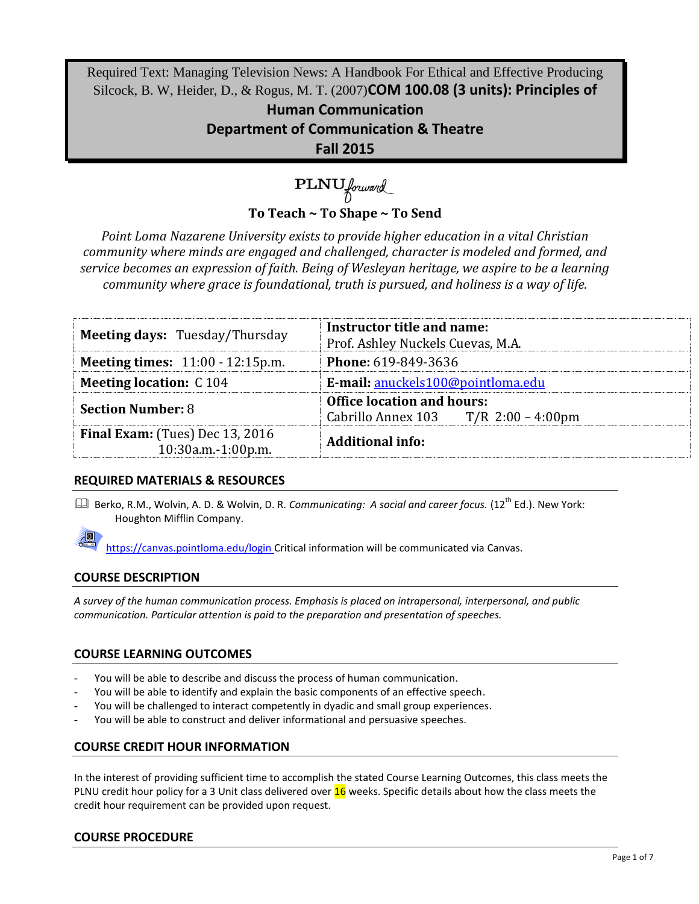Required Text: Managing Television News: A Handbook For Ethical and Effective Producing Silcock, B. W, Heider, D., & Rogus, M. T. (2007)**COM 100.08 (3 units): Principles of** 

> **Human Communication Department of Communication & Theatre Fall 2015**

# PLNU forward **To Teach ~ To Shape ~ To Send**

*Point Loma Nazarene University exists to provide higher education in a vital Christian community where minds are engaged and challenged, character is modeled and formed, and service becomes an expression of faith. Being of Wesleyan heritage, we aspire to be a learning community where grace is foundational, truth is pursued, and holiness is a way of life.*

| <b>Meeting days: Tuesday/Thursday</b>                        | Instructor title and name:<br>Prof. Ashley Nuckels Cuevas, M.A.             |  |
|--------------------------------------------------------------|-----------------------------------------------------------------------------|--|
| <b>Meeting times:</b> 11:00 - 12:15p.m.                      | <b>Phone: 619-849-3636</b>                                                  |  |
| <b>Meeting location: C104</b>                                | E-mail: anuckels100@pointloma.edu                                           |  |
| <b>Section Number: 8</b>                                     | <b>Office location and hours:</b><br>Cabrillo Annex 103 $T/R$ 2:00 – 4:00pm |  |
| <b>Final Exam:</b> (Tues) Dec 13, 2016<br>10:30a.m.-1:00p.m. | <b>Additional info:</b>                                                     |  |

# **REQUIRED MATERIALS & RESOURCES**

**E.** Berko, R.M., Wolvin, A. D. & Wolvin, D. R. *Communicating: A social and career focus.* (12<sup>th</sup> Ed.). New York: Houghton Mifflin Company.

https://canvas.pointloma.edu/login Critical information will be communicated via Canvas.

# **COURSE DESCRIPTION**

*A survey of the human communication process. Emphasis is placed on intrapersonal, interpersonal, and public communication. Particular attention is paid to the preparation and presentation of speeches.*

# **COURSE LEARNING OUTCOMES**

- You will be able to describe and discuss the process of human communication.
- You will be able to identify and explain the basic components of an effective speech.
- You will be challenged to interact competently in dyadic and small group experiences.
- You will be able to construct and deliver informational and persuasive speeches.

# **COURSE CREDIT HOUR INFORMATION**

In the interest of providing sufficient time to accomplish the stated Course Learning Outcomes, this class meets the PLNU credit hour policy for a 3 Unit class delivered over 16 weeks. Specific details about how the class meets the credit hour requirement can be provided upon request.

# **COURSE PROCEDURE**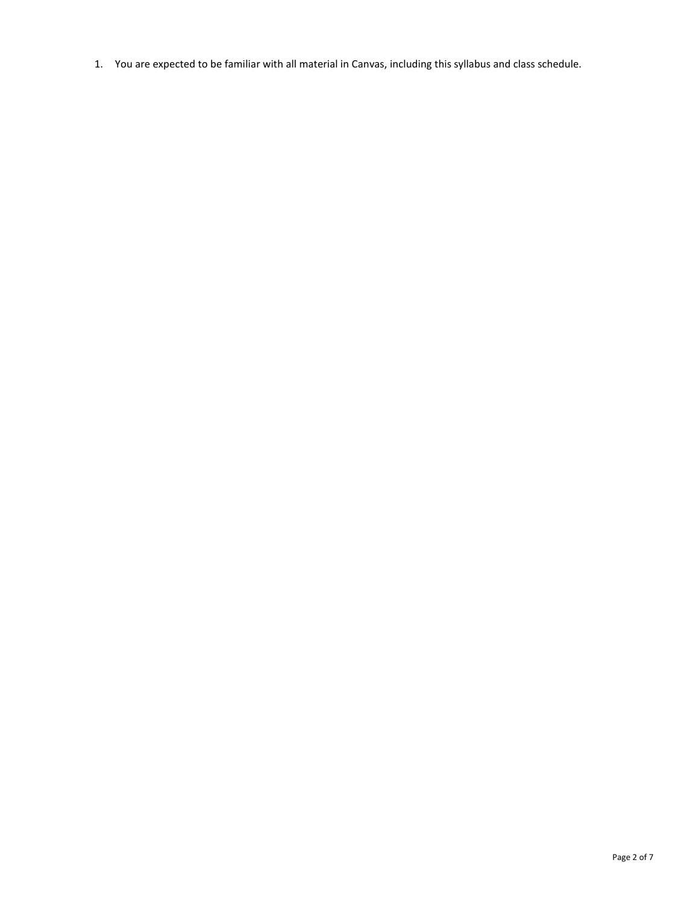1. You are expected to be familiar with all material in Canvas, including this syllabus and class schedule.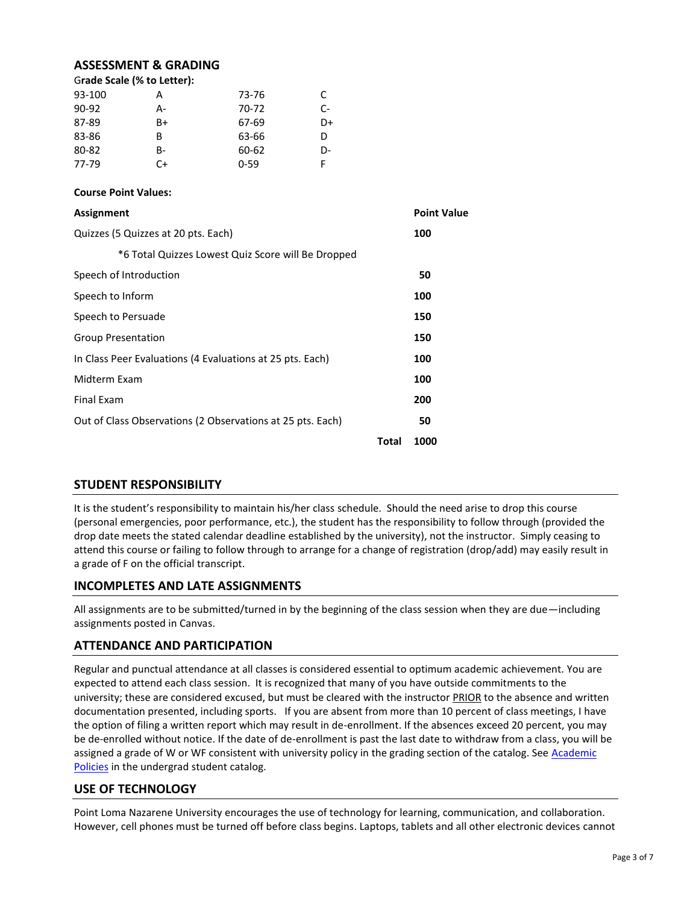#### **ASSESSMENT & GRADING**

| Grade Scale (% to Letter): |    |          |    |  |
|----------------------------|----|----------|----|--|
| 93-100                     | А  | 73-76    | C. |  |
| $90 - 92$                  | А- | 70-72    | C- |  |
| 87-89                      | B+ | 67-69    | D+ |  |
| 83-86                      | B  | 63-66    | D  |  |
| 80-82                      | B- | 60-62    | D- |  |
| 77-79                      | C+ | $0 - 59$ |    |  |

#### **Course Point Values:**

| <b>Assignment</b>                                          |       | <b>Point Value</b> |
|------------------------------------------------------------|-------|--------------------|
| Quizzes (5 Quizzes at 20 pts. Each)                        |       | 100                |
| *6 Total Quizzes Lowest Quiz Score will Be Dropped         |       |                    |
| Speech of Introduction                                     |       | 50                 |
| Speech to Inform                                           |       | 100                |
| Speech to Persuade                                         |       | 150                |
| <b>Group Presentation</b>                                  |       | 150                |
| In Class Peer Evaluations (4 Evaluations at 25 pts. Each)  |       | 100                |
| Midterm Exam                                               |       | 100                |
| <b>Final Exam</b>                                          |       | 200                |
| Out of Class Observations (2 Observations at 25 pts. Each) |       | 50                 |
|                                                            | Total | 1000               |

#### **STUDENT RESPONSIBILITY**

It is the student's responsibility to maintain his/her class schedule. Should the need arise to drop this course (personal emergencies, poor performance, etc.), the student has the responsibility to follow through (provided the drop date meets the stated calendar deadline established by the university), not the instructor. Simply ceasing to attend this course or failing to follow through to arrange for a change of registration (drop/add) may easily result in a grade of F on the official transcript.

#### **INCOMPLETES AND LATE ASSIGNMENTS**

All assignments are to be submitted/turned in by the beginning of the class session when they are due—including assignments posted in Canvas.

#### **ATTENDANCE AND PARTICIPATION**

Regular and punctual attendance at all classes is considered essential to optimum academic achievement. You are expected to attend each class session. It is recognized that many of you have outside commitments to the university; these are considered excused, but must be cleared with the instructor PRIOR to the absence and written documentation presented, including sports. If you are absent from more than 10 percent of class meetings, I have the option of filing a written report which may result in de-enrollment. If the absences exceed 20 percent, you may be de-enrolled without notice. If the date of de-enrollment is past the last date to withdraw from a class, you will be assigned a grade of W or WF consistent with university policy in the grading section of the catalog. See Academic [Policies](http://www.pointloma.edu/experience/academics/catalogs/undergraduate-catalog/point-loma-education/academic-policies) in the undergrad student catalog.

#### **USE OF TECHNOLOGY**

Point Loma Nazarene University encourages the use of technology for learning, communication, and collaboration. However, cell phones must be turned off before class begins. Laptops, tablets and all other electronic devices cannot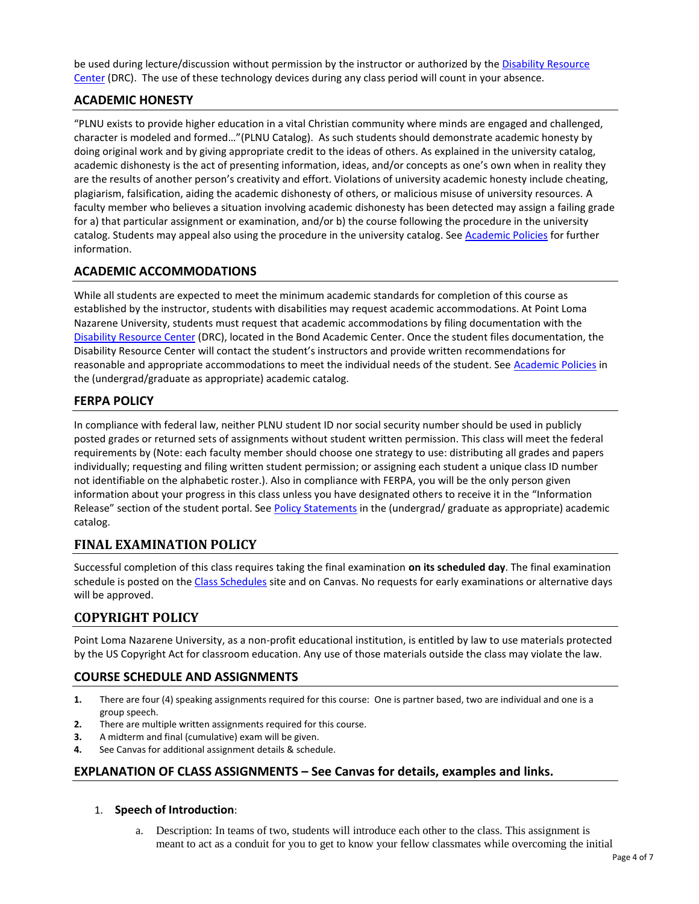be used during lecture/discussion without permission by the instructor or authorized by the [Disability Resource](http://www.pointloma.edu/experience/offices/administrative-offices/academic-advising-office/disability-resource-center)  [Center](http://www.pointloma.edu/experience/offices/administrative-offices/academic-advising-office/disability-resource-center) (DRC). The use of these technology devices during any class period will count in your absence.

### **ACADEMIC HONESTY**

"PLNU exists to provide higher education in a vital Christian community where minds are engaged and challenged, character is modeled and formed…"(PLNU Catalog). As such students should demonstrate academic honesty by doing original work and by giving appropriate credit to the ideas of others. As explained in the university catalog, academic dishonesty is the act of presenting information, ideas, and/or concepts as one's own when in reality they are the results of another person's creativity and effort. Violations of university academic honesty include cheating, plagiarism, falsification, aiding the academic dishonesty of others, or malicious misuse of university resources. A faculty member who believes a situation involving academic dishonesty has been detected may assign a failing grade for a) that particular assignment or examination, and/or b) the course following the procedure in the university catalog. Students may appeal also using the procedure in the university catalog. Se[e Academic Policies](http://www.pointloma.edu/experience/academics/catalogs/undergraduate-catalog/point-loma-education/academic-policies) for further information.

#### **ACADEMIC ACCOMMODATIONS**

While all students are expected to meet the minimum academic standards for completion of this course as established by the instructor, students with disabilities may request academic accommodations. At Point Loma Nazarene University, students must request that academic accommodations by filing documentation with the [Disability Resource Center](http://www.pointloma.edu/experience/offices/administrative-offices/academic-advising-office/disability-resource-center) (DRC), located in the Bond Academic Center. Once the student files documentation, the Disability Resource Center will contact the student's instructors and provide written recommendations for reasonable and appropriate accommodations to meet the individual needs of the student. See [Academic Policies](http://www.pointloma.edu/experience/academics/catalogs/undergraduate-catalog/point-loma-education/academic-policies) in the (undergrad/graduate as appropriate) academic catalog.

#### **FERPA POLICY**

In compliance with federal law, neither PLNU student ID nor social security number should be used in publicly posted grades or returned sets of assignments without student written permission. This class will meet the federal requirements by (Note: each faculty member should choose one strategy to use: distributing all grades and papers individually; requesting and filing written student permission; or assigning each student a unique class ID number not identifiable on the alphabetic roster.). Also in compliance with FERPA, you will be the only person given information about your progress in this class unless you have designated others to receive it in the "Information Release" section of the student portal. See [Policy Statements](http://www.pointloma.edu/experience/academics/catalogs/undergraduate-catalog/policy-statements) in the (undergrad/ graduate as appropriate) academic catalog.

# **FINAL EXAMINATION POLICY**

Successful completion of this class requires taking the final examination **on its scheduled day**. The final examination schedule is posted on th[e Class Schedules](http://www.pointloma.edu/experience/academics/class-schedules) site and on Canvas. No requests for early examinations or alternative days will be approved.

# **COPYRIGHT POLICY**

Point Loma Nazarene University, as a non-profit educational institution, is entitled by law to use materials protected by the US Copyright Act for classroom education. Any use of those materials outside the class may violate the law.

#### **COURSE SCHEDULE AND ASSIGNMENTS**

- **1.** There are four (4) speaking assignments required for this course: One is partner based, two are individual and one is a group speech.
- **2.** There are multiple written assignments required for this course.
- **3.** A midterm and final (cumulative) exam will be given.
- **4.** See Canvas for additional assignment details & schedule.

#### **EXPLANATION OF CLASS ASSIGNMENTS – See Canvas for details, examples and links.**

- 1. **Speech of Introduction**:
	- a. Description: In teams of two, students will introduce each other to the class. This assignment is meant to act as a conduit for you to get to know your fellow classmates while overcoming the initial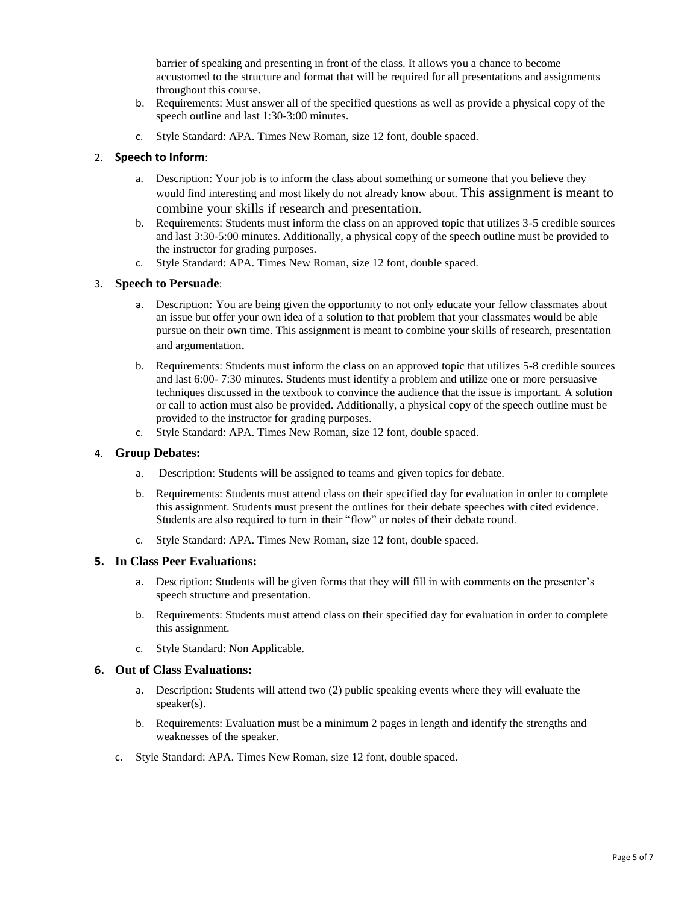barrier of speaking and presenting in front of the class. It allows you a chance to become accustomed to the structure and format that will be required for all presentations and assignments throughout this course.

- b. Requirements: Must answer all of the specified questions as well as provide a physical copy of the speech outline and last 1:30-3:00 minutes.
- c. Style Standard: APA. Times New Roman, size 12 font, double spaced.

#### 2. **Speech to Inform**:

- a. Description: Your job is to inform the class about something or someone that you believe they would find interesting and most likely do not already know about. This assignment is meant to combine your skills if research and presentation.
- b. Requirements: Students must inform the class on an approved topic that utilizes 3-5 credible sources and last 3:30-5:00 minutes. Additionally, a physical copy of the speech outline must be provided to the instructor for grading purposes.
- c. Style Standard: APA. Times New Roman, size 12 font, double spaced.

#### 3. **Speech to Persuade**:

- a. Description: You are being given the opportunity to not only educate your fellow classmates about an issue but offer your own idea of a solution to that problem that your classmates would be able pursue on their own time. This assignment is meant to combine your skills of research, presentation and argumentation.
- b. Requirements: Students must inform the class on an approved topic that utilizes 5-8 credible sources and last 6:00- 7:30 minutes. Students must identify a problem and utilize one or more persuasive techniques discussed in the textbook to convince the audience that the issue is important. A solution or call to action must also be provided. Additionally, a physical copy of the speech outline must be provided to the instructor for grading purposes.
- c. Style Standard: APA. Times New Roman, size 12 font, double spaced.

#### 4. **Group Debates:**

- a. Description: Students will be assigned to teams and given topics for debate.
- b. Requirements: Students must attend class on their specified day for evaluation in order to complete this assignment. Students must present the outlines for their debate speeches with cited evidence. Students are also required to turn in their "flow" or notes of their debate round.
- c. Style Standard: APA. Times New Roman, size 12 font, double spaced.

#### **5. In Class Peer Evaluations:**

- a. Description: Students will be given forms that they will fill in with comments on the presenter's speech structure and presentation.
- b. Requirements: Students must attend class on their specified day for evaluation in order to complete this assignment.
- c. Style Standard: Non Applicable.

#### **6. Out of Class Evaluations:**

- a. Description: Students will attend two (2) public speaking events where they will evaluate the speaker(s).
- b. Requirements: Evaluation must be a minimum 2 pages in length and identify the strengths and weaknesses of the speaker.
- c. Style Standard: APA. Times New Roman, size 12 font, double spaced.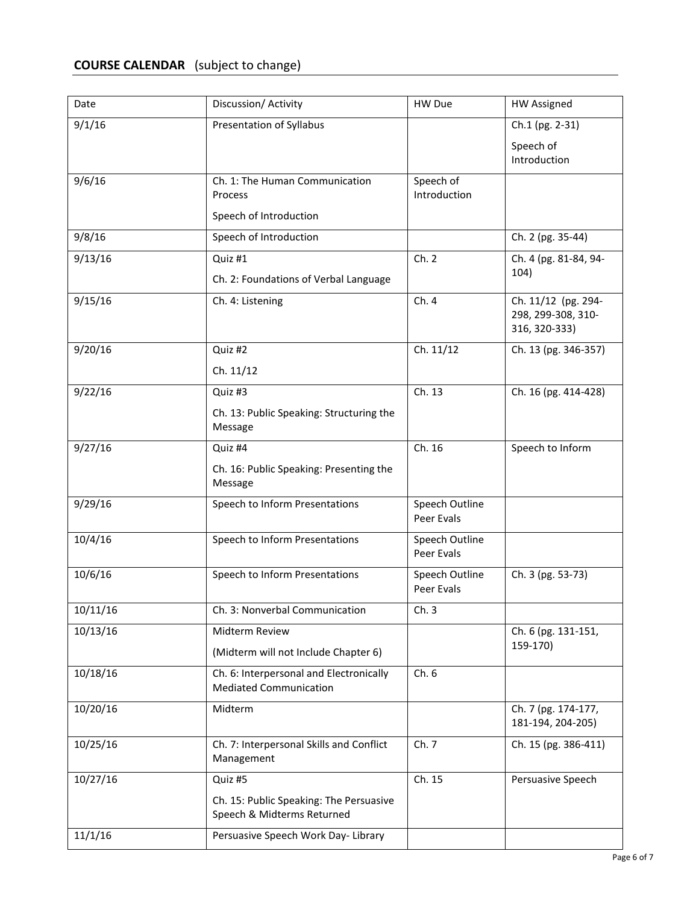# **COURSE CALENDAR** (subject to change)

| Date                | Discussion/ Activity                                                                                                    | HW Due                       | <b>HW Assigned</b>                                         |
|---------------------|-------------------------------------------------------------------------------------------------------------------------|------------------------------|------------------------------------------------------------|
| 9/1/16              | Presentation of Syllabus                                                                                                |                              | Ch.1 (pg. 2-31)<br>Speech of<br>Introduction               |
| 9/6/16              | Ch. 1: The Human Communication<br>Process<br>Speech of Introduction                                                     | Speech of<br>Introduction    |                                                            |
| 9/8/16              | Speech of Introduction                                                                                                  |                              | Ch. 2 (pg. 35-44)                                          |
| 9/13/16             | Quiz #1<br>Ch. 2: Foundations of Verbal Language                                                                        | Ch. 2                        | Ch. 4 (pg. 81-84, 94-<br>104)                              |
| 9/15/16             | Ch. 4: Listening                                                                                                        | Ch. 4                        | Ch. 11/12 (pg. 294-<br>298, 299-308, 310-<br>316, 320-333) |
| 9/20/16             | Quiz #2<br>Ch. 11/12                                                                                                    | Ch. 11/12                    | Ch. 13 (pg. 346-357)                                       |
| 9/22/16             | Quiz #3<br>Ch. 13: Public Speaking: Structuring the<br>Message                                                          | Ch. 13                       | Ch. 16 (pg. 414-428)                                       |
| 9/27/16             | Quiz #4<br>Ch. 16: Public Speaking: Presenting the<br>Message                                                           | Ch. 16                       | Speech to Inform                                           |
| 9/29/16             | Speech to Inform Presentations                                                                                          | Speech Outline<br>Peer Evals |                                                            |
| 10/4/16             | Speech to Inform Presentations                                                                                          | Speech Outline<br>Peer Evals |                                                            |
| 10/6/16             | Speech to Inform Presentations                                                                                          | Speech Outline<br>Peer Evals | Ch. 3 (pg. 53-73)                                          |
| 10/11/16            | Ch. 3: Nonverbal Communication                                                                                          | Ch.3                         |                                                            |
| 10/13/16            | Midterm Review<br>(Midterm will not Include Chapter 6)                                                                  |                              | Ch. 6 (pg. 131-151,<br>159-170)                            |
| 10/18/16            | Ch. 6: Interpersonal and Electronically<br><b>Mediated Communication</b>                                                | Ch.6                         |                                                            |
| 10/20/16            | Midterm                                                                                                                 |                              | Ch. 7 (pg. 174-177,<br>181-194, 204-205)                   |
| 10/25/16            | Ch. 7: Interpersonal Skills and Conflict<br>Management                                                                  | Ch. 7                        | Ch. 15 (pg. 386-411)                                       |
| 10/27/16<br>11/1/16 | Quiz #5<br>Ch. 15: Public Speaking: The Persuasive<br>Speech & Midterms Returned<br>Persuasive Speech Work Day- Library | Ch. 15                       | Persuasive Speech                                          |